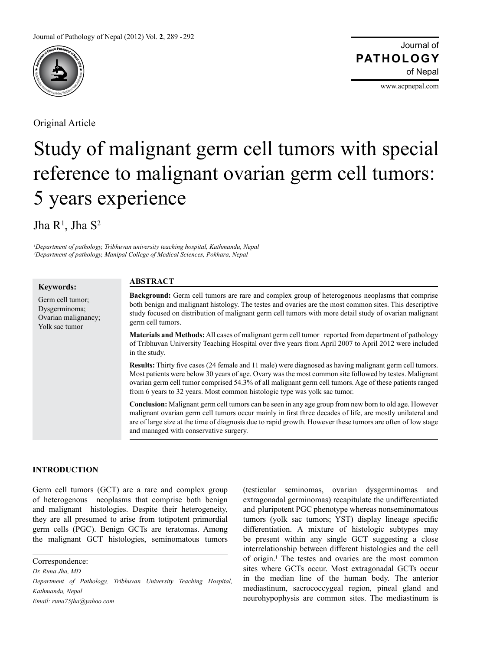

Original Article

Journal of of Nepal **PATHOLOGY**

www.acpnepal.com

# Study of malignant germ cell tumors with special reference to malignant ovarian germ cell tumors: 5 years experience

Jha  $\mathsf{R}^1$ , Jha  $\mathsf{S}^2$ 

*1 Department of pathology, Tribhuvan university teaching hospital, Kathmandu, Nepal 2 Department of pathology, Manipal College of Medical Sciences, Pokhara, Nepal*

**Keywords:**

Germ cell tumor; Dysgerminoma; Ovarian malignancy; Yolk sac tumor

# **ABSTRACT**

**Background:** Germ cell tumors are rare and complex group of heterogenous neoplasms that comprise both benign and malignant histology. The testes and ovaries are the most common sites. This descriptive study focused on distribution of malignant germ cell tumors with more detail study of ovarian malignant germ cell tumors.

**Materials and Methods:** All cases of malignant germ cell tumor reported from department of pathology of Tribhuvan University Teaching Hospital over five years from April 2007 to April 2012 were included in the study.

**Results:** Thirty five cases (24 female and 11 male) were diagnosed as having malignant germ cell tumors. Most patients were below 30 years of age. Ovary was the most common site followed by testes. Malignant ovarian germ cell tumor comprised 54.3% of all malignant germ cell tumors. Age of these patients ranged from 6 years to 32 years. Most common histologic type was yolk sac tumor.

**Conclusion:** Malignant germ cell tumors can be seen in any age group from new born to old age. However malignant ovarian germ cell tumors occur mainly in first three decades of life, are mostly unilateral and are of large size at the time of diagnosis due to rapid growth. However these tumors are often of low stage and managed with conservative surgery.

## **INTRODUCTION**

Germ cell tumors (GCT) are a rare and complex group of heterogenous neoplasms that comprise both benign and malignant histologies. Despite their heterogeneity, they are all presumed to arise from totipotent primordial germ cells (PGC). Benign GCTs are teratomas. Among the malignant GCT histologies, seminomatous tumors

Correspondence:

*Dr. Runa Jha, MD*

*Email: runa75jha@yahoo.com*

(testicular seminomas, ovarian dysgerminomas and extragonadal germinomas) recapitulate the undifferentiated and pluripotent PGC phenotype whereas nonseminomatous tumors (yolk sac tumors; YST) display lineage specific differentiation. A mixture of histologic subtypes may be present within any single GCT suggesting a close interrelationship between different histologies and the cell of origin.1 The testes and ovaries are the most common sites where GCTs occur. Most extragonadal GCTs occur in the median line of the human body. The anterior mediastinum, sacrococcygeal region, pineal gland and neurohypophysis are common sites. The mediastinum is

*Department of Pathology, Tribhuvan University Teaching Hospital, Kathmandu, Nepal*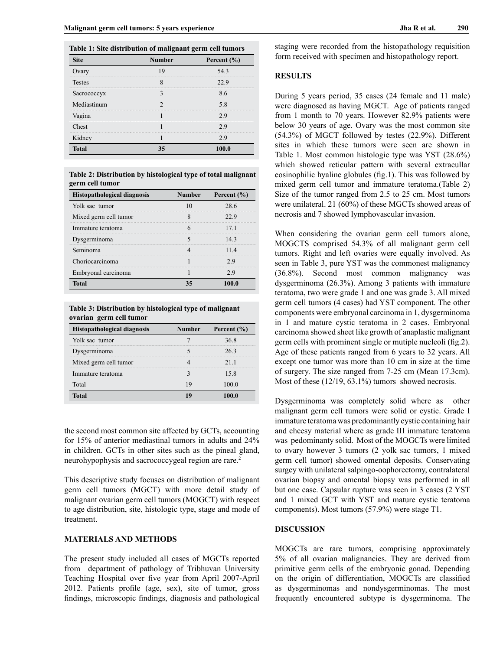| Table 1: Site distribution of malignant germ cell tumors<br><b>Site</b><br><b>Number</b><br>Percent $(\% )$ |  |       |  |  |
|-------------------------------------------------------------------------------------------------------------|--|-------|--|--|
| Ovary                                                                                                       |  | 543   |  |  |
| <b>Testes</b>                                                                                               |  |       |  |  |
| Sacrococcyx                                                                                                 |  | 86    |  |  |
| Mediastinum                                                                                                 |  | 5.8   |  |  |
| Vagina                                                                                                      |  |       |  |  |
| Chest                                                                                                       |  | 29    |  |  |
| Kidney                                                                                                      |  | 29    |  |  |
| <b>Total</b>                                                                                                |  | 100.0 |  |  |

**Table 2: Distribution by histological type of total malignant germ cell tumor**

| <b>Histopathological diagnosis</b> | Number | Percent $(\% )$ |
|------------------------------------|--------|-----------------|
| Yolk sac tumor                     |        | 28.6            |
| Mixed germ cell tumor              |        | 22 Y            |
| Immature teratoma                  |        |                 |
| Dysgerminoma                       |        |                 |
| Seminoma                           |        |                 |
| Choriocarcinoma                    |        |                 |
| Embryonal carcinoma                |        |                 |
| Total                              |        |                 |

**Table 3: Distribution by histological type of malignant ovarian germ cell tumor**

| <b>Histopathological diagnosis</b> | Number | Percent $(\% )$ |
|------------------------------------|--------|-----------------|
| Yolk sac tumor                     |        | 36.8            |
| Dysgerminoma                       |        | 263             |
| Mixed germ cell tumor              |        | 21 1            |
| Immature teratoma                  |        | 15.8            |
| Total                              |        |                 |
|                                    |        |                 |

the second most common site affected by GCTs, accounting for 15% of anterior mediastinal tumors in adults and 24% in children. GCTs in other sites such as the pineal gland, neurohypophysis and sacrococcygeal region are rare.2

This descriptive study focuses on distribution of malignant germ cell tumors (MGCT) with more detail study of malignant ovarian germ cell tumors (MOGCT) with respect to age distribution, site, histologic type, stage and mode of treatment.

#### **MATERIALS AND METHODS**

The present study included all cases of MGCTs reported from department of pathology of Tribhuvan University Teaching Hospital over five year from April 2007-April 2012. Patients profile (age, sex), site of tumor, gross findings, microscopic findings, diagnosis and pathological staging were recorded from the histopathology requisition form received with specimen and histopathology report.

### **RESULTS**

During 5 years period, 35 cases (24 female and 11 male) were diagnosed as having MGCT. Age of patients ranged from 1 month to 70 years. However 82.9% patients were below 30 years of age. Ovary was the most common site (54.3%) of MGCT followed by testes (22.9%). Different sites in which these tumors were seen are shown in Table 1. Most common histologic type was YST (28.6%) which showed reticular pattern with several extracullar eosinophilic hyaline globules (fig.1). This was followed by mixed germ cell tumor and immature teratoma.(Table 2) Size of the tumor ranged from 2.5 to 25 cm. Most tumors were unilateral. 21 (60%) of these MGCTs showed areas of necrosis and 7 showed lymphovascular invasion.

When considering the ovarian germ cell tumors alone, MOGCTS comprised 54.3% of all malignant germ cell tumors. Right and left ovaries were equally involved. As seen in Table 3, pure YST was the commonest malignancy (36.8%). Second most common malignancy was dysgerminoma (26.3%). Among 3 patients with immature teratoma, two were grade 1 and one was grade 3. All mixed germ cell tumors (4 cases) had YST component. The other components were embryonal carcinoma in 1, dysgerminoma in 1 and mature cystic teratoma in 2 cases. Embryonal carcinoma showed sheet like growth of anaplastic malignant germ cells with prominent single or mutiple nucleoli (fig.2). Age of these patients ranged from 6 years to 32 years. All except one tumor was more than 10 cm in size at the time of surgery. The size ranged from 7-25 cm (Mean 17.3cm). Most of these (12/19, 63.1%) tumors showed necrosis.

Dysgerminoma was completely solid where as other malignant germ cell tumors were solid or cystic. Grade I immature teratoma was predominantly cystic containing hair and cheesy material where as grade III immature teratoma was pedominanty solid. Most of the MOGCTs were limited to ovary however 3 tumors (2 yolk sac tumors, 1 mixed germ cell tumor) showed omental deposits. Conservating surgey with unilateral salpingo-oophorectomy, contralateral ovarian biopsy and omental biopsy was performed in all but one case. Capsular rupture was seen in 3 cases (2 YST and 1 mixed GCT with YST and mature cystic teratoma components). Most tumors (57.9%) were stage T1.

### **DISCUSSION**

MOGCTs are rare tumors, comprising approximately 5% of all ovarian malignancies. They are derived from primitive germ cells of the embryonic gonad. Depending on the origin of differentiation, MOGCTs are classified as dysgerminomas and nondysgerminomas. The most frequently encountered subtype is dysgerminoma. The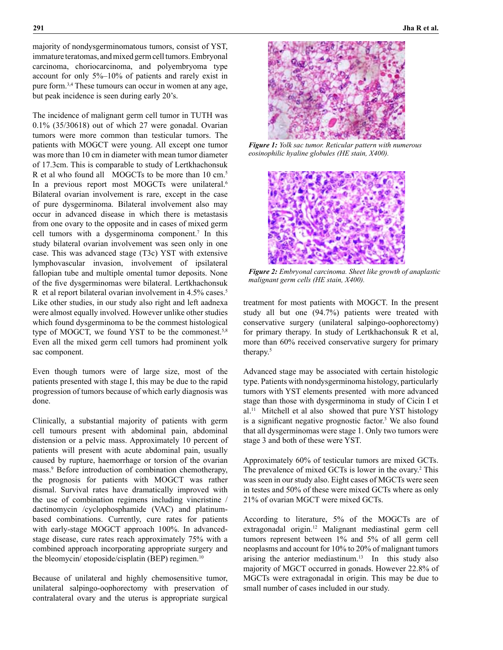majority of nondysgerminomatous tumors, consist of YST, immature teratomas, and mixed germ cell tumors. Embryonal carcinoma, choriocarcinoma, and polyembryoma type account for only 5%–10% of patients and rarely exist in pure form.3,4 These tumours can occur in women at any age, but peak incidence is seen during early 20's.

The incidence of malignant germ cell tumor in TUTH was 0.1% (35/30618) out of which 27 were gonadal. Ovarian tumors were more common than testicular tumors. The patients with MOGCT were young. All except one tumor was more than 10 cm in diameter with mean tumor diameter of 17.3cm. This is comparable to study of Lertkhachonsuk R et al who found all MOGCTs to be more than 10 cm.5 In a previous report most MOGCTs were unilateral.<sup>6</sup> Bilateral ovarian involvement is rare, except in the case of pure dysgerminoma. Bilateral involvement also may occur in advanced disease in which there is metastasis from one ovary to the opposite and in cases of mixed germ cell tumors with a dysgerminoma component.<sup>7</sup> In this study bilateral ovarian involvement was seen only in one case. This was advanced stage (T3c) YST with extensive lymphovascular invasion, involvement of ipsilateral fallopian tube and multiple omental tumor deposits. None of the five dysgerminomas were bilateral. Lertkhachonsuk R et al report bilateral ovarian involvement in 4.5% cases.<sup>5</sup> Like other studies, in our study also right and left aadnexa were almost equally involved. However unlike other studies which found dysgerminoma to be the commest histological type of MOGCT, we found YST to be the commonest.<sup>5,8</sup> Even all the mixed germ cell tumors had prominent yolk sac component.

Even though tumors were of large size, most of the patients presented with stage I, this may be due to the rapid progression of tumors because of which early diagnosis was done.

Clinically, a substantial majority of patients with germ cell tumours present with abdominal pain, abdominal distension or a pelvic mass. Approximately 10 percent of patients will present with acute abdominal pain, usually caused by rupture, haemorrhage or torsion of the ovarian mass.9 Before introduction of combination chemotherapy, the prognosis for patients with MOGCT was rather dismal. Survival rates have dramatically improved with the use of combination regimens including vincristine / dactinomycin /cyclophosphamide (VAC) and platinumbased combinations. Currently, cure rates for patients with early-stage MOGCT approach 100%. In advancedstage disease, cure rates reach approximately 75% with a combined approach incorporating appropriate surgery and the bleomycin/ etoposide/cisplatin (BEP) regimen.<sup>10</sup>

Because of unilateral and highly chemosensitive tumor, unilateral salpingo-oophorectomy with preservation of contralateral ovary and the uterus is appropriate surgical



*Figure 1: Yolk sac tumor. Reticular pattern with numerous eosinophilic hyaline globules (HE stain, X400).*



*Figure 2: Embryonal carcinoma. Sheet like growth of anaplastic malignant germ cells (HE stain, X400).*

treatment for most patients with MOGCT. In the present study all but one (94.7%) patients were treated with conservative surgery (unilateral salpingo-oophorectomy) for primary therapy. In study of Lertkhachonsuk R et al, more than 60% received conservative surgery for primary therapy.<sup>5</sup>

Advanced stage may be associated with certain histologic type. Patients with nondysgerminoma histology, particularly tumors with YST elements presented with more advanced stage than those with dysgerminoma in study of Cicin I et al.<sup>11</sup> Mitchell et al also showed that pure YST histology is a significant negative prognostic factor.<sup>3</sup> We also found that all dysgerminomas were stage 1. Only two tumors were stage 3 and both of these were YST.

Approximately 60% of testicular tumors are mixed GCTs. The prevalence of mixed GCTs is lower in the ovary.<sup>2</sup> This was seen in our study also. Eight cases of MGCTs were seen in testes and 50% of these were mixed GCTs where as only 21% of ovarian MGCT were mixed GCTs.

According to literature, 5% of the MOGCTs are of extragonadal origin.12 Malignant mediastinal germ cell tumors represent between 1% and 5% of all germ cell neoplasms and account for 10% to 20% of malignant tumors arising the anterior mediastinum.<sup>13</sup> In this study also majority of MGCT occurred in gonads. However 22.8% of MGCTs were extragonadal in origin. This may be due to small number of cases included in our study.